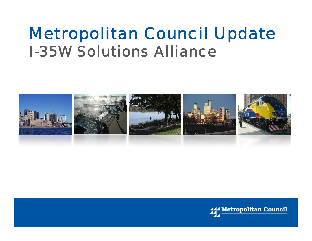### *Metropolitan Council Update I-35W Solutions Alliance*



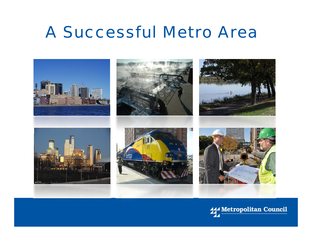### *A Successful Metro Area*

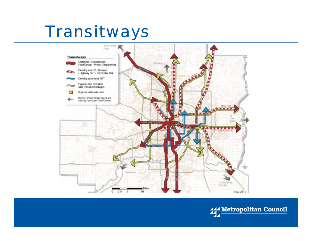### *Transitways*



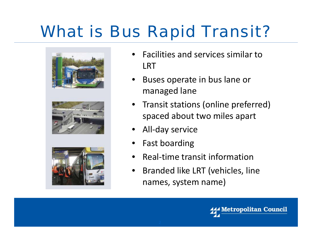# *What is Bus Rapid Transit?*



- •**•** Facilities and services similar to LRT
- •• Buses operate in bus lane or managed lane
- •• Transit stations (online preferred) spaced about two miles apart
- •• All-day service
- •Fast boarding
- •• Real-time transit information
- • $\bullet$  Branded like LRT (vehicles, line names, system name)

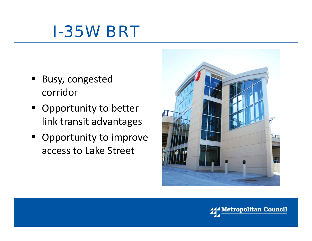

- **Busy, congested** corridor
- **Opportunity to better** link transit advantages
- Opportunity to improve access to Lake Street



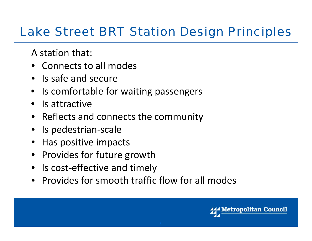### *Lake Street BRT Station Design Principles*

A station that:

- Connects to all modes
- Is safe and secure
- Is comfortable for waiting passengers
- Is attractive
- Reflects and connects the community
- Is pedestrian-scale
- Has positive impacts
- Provides for future growth
- Is cost-effective and timely
- Provides for smooth traffic flow for all modes

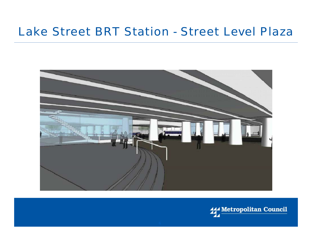#### *Lake Street BRT Station - Street Level Plaza*



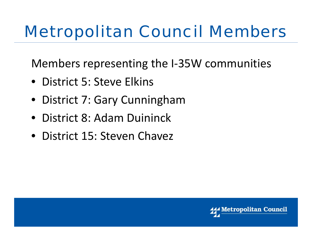# *Metropolitan Council Members*

Members representing the I‐35W communities

- District 5: Steve Elkins
- District 7: Gar y Cunnin gham
- District 8: Adam Duininck
- District 15: Steven Chavez